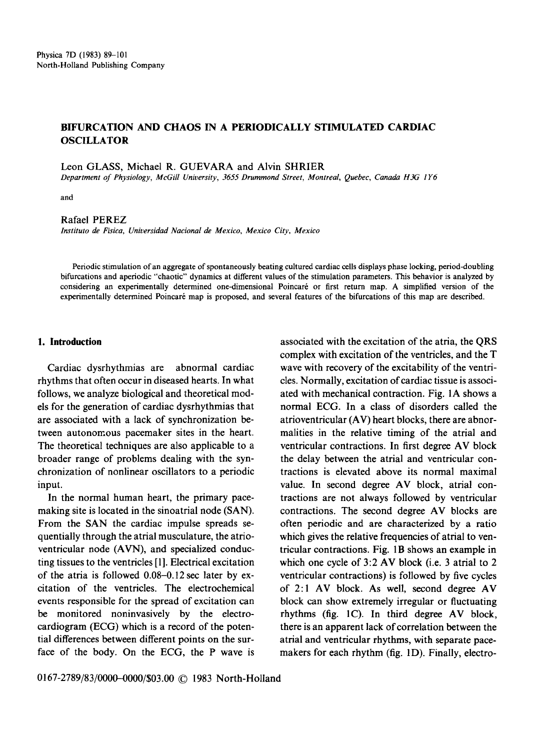# **BIFURCATION AND CHAOS IN A PERIODICALLY STIMULATED CARDIAC OSCILLATOR**

Leon GLASS, Michael R. GUEVARA and Alvin **SHRIER** 

*Department of Physiology, McGill University, 3655 Drummond Street, Montreal, Quebec, Canada H3G 1 Y6* 

and

Rafael **PEREZ** 

*Instituto de Fisica, Universidad Nacional de Mexico, Mexico City, Mexico* 

Periodic stimulation of an aggregate of spontaneously beating cultured cardiac cells displays phase locking, period-doubling bifurcations and aperiodic "chaotic" dynamics at different values of the stimulation parameters. This behavior is analyzed by considering an experimentally determined one-dimensional Poincaré or first return map. A simplified version of the experimentally determined Poincaré map is proposed, and several features of the bifurcations of this map are described.

## **1. Introduction**

Cardiac dysrhythmias are abnormal cardiac rhythms that often occur in diseased hearts. In what follows, we analyze biological and theoretical models for the generation of cardiac dysrhythmias that are associated with a lack of synchronization between autonomous pacemaker sites in the heart. The theoretical techniques are also applicable to a broader range of problems dealing with the synchronization of nonlinear oscillators to a periodic input.

In the normal human heart, the primary pacemaking site is located in the sinoatrial node (SAN). From the SAN the cardiac impulse spreads sequentially through the atrial musculature, the atrioventricular node (AVN), and specialized conducting tissues to the ventricles [1]. Electrical excitation of the atria is followed 0.08-0.12 sec later by excitation of the ventricles. The electrochemical events responsible for the spread of excitation can be monitored noninvasively by the electrocardiogram (ECG) which is a record of the potential differences between different points on the surface of the body. On the ECG, the P wave is

associated with the excitation of the atria, the QRS complex with excitation of the ventricles, and the T wave with recovery of the excitability of the ventricles. Normally, excitation of cardiac tissue is associated with mechanical contraction. Fig. IA shows a normal ECG. In a class of disorders called the atrioventricular (AV) heart blocks, there are abnormalities in the relative timing of the atrial and ventricular contractions. In first degree AV block the delay between the atrial and ventricular contractions is elevated above its normal maximal value. In second degree AV block, atrial contractions are not always followed by ventricular contractions. The second degree AV blocks are often periodic and are characterized by a ratio which gives the relative frequencies of atrial to ventricular contractions. Fig. 1B shows an example in which one cycle of 3:2 AV block (i.e. 3 atrial to 2 ventricular contractions) is followed by five cycles of 2:1 AV block. As well, second degree AV block can show extremely irregular or fluctuating rhythms (fig. 1C). In third degree AV block, there is an apparent lack of correlation between the atrial and ventricular rhythms, with separate pacemakers for each rhythm (fig. 1D). Finally, electro-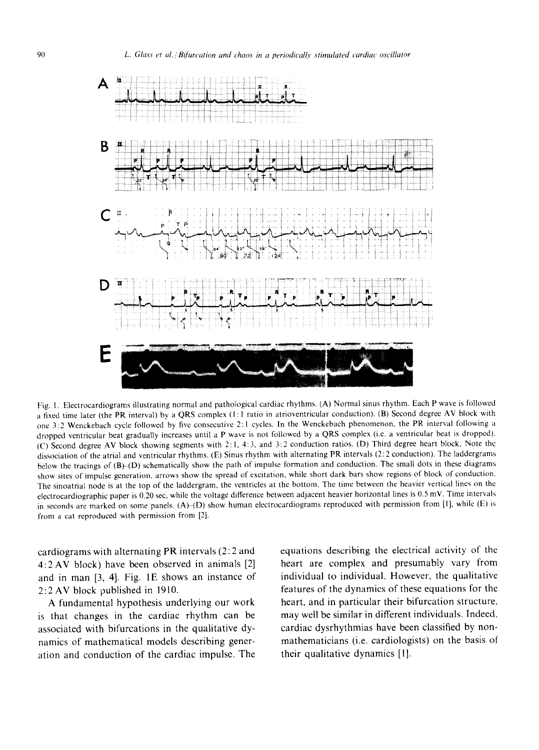

Fig. I. Electrocardiograms illustrating normal and pathological cardiac rhythms. (A) Normal sinus rhythm. Each P wave is followed a fixed time later (the PR interval) by a QRS complex (1:1 ratio in atrioventricular conduction). (B) Second degree AV block with one 3:2 Wenckebach cycle followed by five consecutive 2:1 cycles. In the Wenckebach phenomenon, the PR interval following a dropped ventricular beat gradually increases until a P wave is not followed by a QRS complex (i.e. a ventricular beat is dropped). (C) Second degree AV block showing segments with 2: 1, 4: 3, and 3:2 conduction ratios. (D) Third degree heart block, Note the dissociation of the atrial and ventricular rhythms. (E) Sinus rhythm with alternating PR intervals (2:2 conduction). The laddergrams below the tracings of (B)-(D) schematically show the path of impulse formation and conduction. The small dots in these diagrams show sites of impulse generation, arrows show the spread of excitation, while short dark bars show regions of block of conduction. The sinoatrial node is at the top of the laddergram, the ventricles at the bottom. The time between the heavier vertical lines on the electrocardiographic paper is 0.20 sec, while the voltage difference between adjacent heavier horizontal lines is 0.5 mV. Time intervals in seconds are marked on some panels.  $(A)(D)$  show human electrocardiograms reproduced with permission from [1], while (E) is from a cat reproduced with permission from [2].

cardiograms with alternating PR intervals (2:2 and 4:2 AV block) have been observed in animals [2] and in man  $[3, 4]$ . Fig. 1E shows an instance of 2:2 AV block published in 1910.

A fundamental hypothesis underlying our work is that changes in the cardiac rhythm can be associated with bifurcations in the qualitative dynamics of mathematical models describing generation and conduction of the cardiac impulse. The equations describing the electrical activity of the heart are complex and presumably vary from individual to individual. However, the qualitative features of the dynamics of these equations for the heart, and in particular their bifurcation structure, may well be similar in different individuals. Indeed, cardiac dysrhythmias have been classified by nonmathematicians (i.e. cardiologists) on the basis of their qualitative dynamics [1].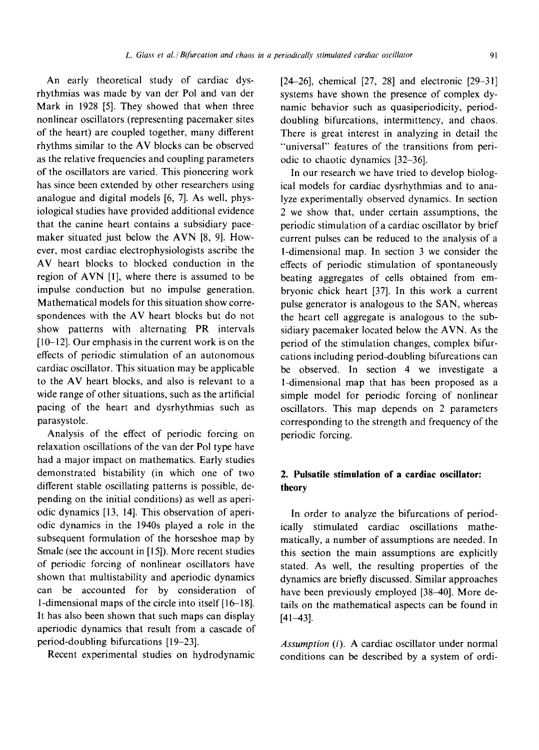An early theoretical study of cardiac dysrhythmias was made by van der Pol and van der Mark in 1928 [5]. They showed that when three nonlinear oscillators (representing pacemaker sites of the heart) are coupled together, many different rhythms similar to the AV blocks can be observed as the relative frequencies and coupling parameters of the oscillators are varied. This pioneering work has since been extended by other researchers using analogue and digital models [6, 7]. As well, physiological studies have provided additional evidence that the canine heart contains a subsidiary pacemaker situated just below the AVN [8, 9]. However, most cardiac electrophysiologists ascribe the AV heart blocks to blocked conduction in the region of AVN [1], where there is assumed to be impulse conduction but no impulse generation. Mathematical models for this situation show correspondences with the AV heart blocks but do not show patterns with alternating PR intervals [10-12]. Our emphasis in the current work is on the effects of periodic stimulation of an autonomous cardiac oscillator. This situation may be applicable to the AV heart blocks, and also is relevant to a wide range of other situations, such as the artificial pacing of the heart and dysrhythmias such as parasystole.

Analysis of the effect of periodic forcing on relaxation oscillations of the van der Pol type have had a major impact on mathematics. Early studies demonstrated bistability (in which one of two different stable oscillating patterns is possible, depending on the initial conditions) as well as aperiodic dynamics [13, 14]. This observation of aperiodic dynamics in the 1940s played a role in the subsequent formulation of the horseshoe map by Smale (see the account in [i 5]). More recent studies of periodic forcing of nonlinear oscillators have shown that multistability and aperiodic dynamics can be accounted for by consideration of **1-dimensional** maps of the circle into itself [ 16-18]. It has also been shown that such maps can display aperiodic dynamics that result from a cascade of period-doubling bifurcations [19-23].

Recent experimental studies on hydrodynamic

 $[24-26]$ , chemical  $[27, 28]$  and electronic  $[29-31]$ systems have shown the presence of complex dynamic behavior such as quasiperiodicity, perioddoubling bifurcations, intermittency, and chaos. There is great interest in analyzing in detail the "universal" features of the transitions from periodic to chaotic dynamics [32-36].

In our research we have tried to develop biological models for cardiac dysrhythmias and to analyze experimentally observed dynamics. In section 2 we show that, under certain assumptions, the periodic stimulation of a cardiac oscillator by brief current pulses can be reduced to the analysis of a I-dimensional map. In section 3 we consider the effects of periodic stimulation of spontaneously beating aggregates of cells obtained from embryonic chick heart [37]. In this work a current pulse generator is analogous to the SAN, whereas the heart cell aggregate is analogous to the subsidiary pacemaker located below the AVN. As the period of the stimulation changes, complex bifurcations including period-doubling bifurcations can be observed. In section 4 we investigate a 1-dimensional map that has been proposed as a simple model for periodic forcing of nonlinear oscillators. This map depends on 2 parameters corresponding to the strength and frequency of the periodic forcing.

# **2. Pulsatile stimulation of a cardiac oscillator: theory**

In order to analyze the bifurcations of periodically stimulated cardiac oscillations mathematically, a number of assumptions are needed. In this section the main assumptions are explicitly stated. As well, the resulting properties of the dynamics are briefly discussed. Similar approaches have been previously employed [38-40]. More details on the mathematical aspects can be found in [41-43].

*Assumption* (i). A cardiac oscillator under normal conditions can be described by a system of ordi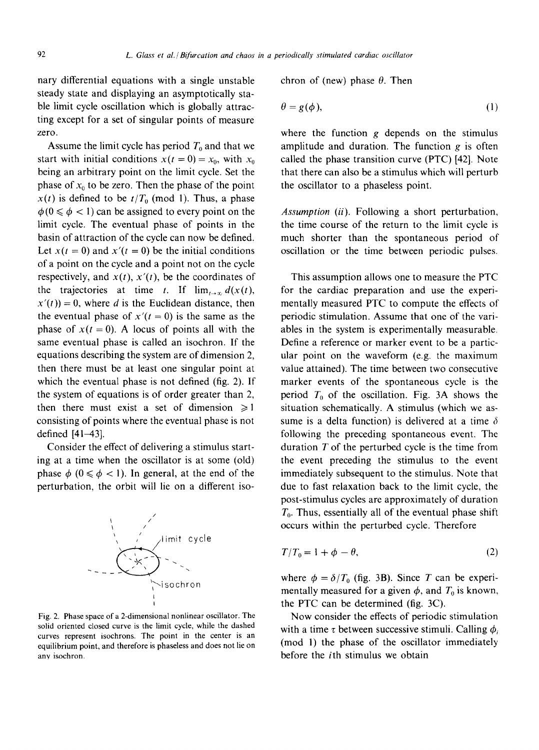nary differential equations with a single unstable steady state and displaying an asymptotically stable limit cycle oscillation which is globally attracting except for a set of singular points of measure zero.

Assume the limit cycle has period  $T_0$  and that we start with initial conditions  $x(t = 0) = x_0$ , with  $x_0$ being an arbitrary point on the limit cycle. Set the phase of  $x_0$  to be zero. Then the phase of the point  $x(t)$  is defined to be  $t/T_0$  (mod 1). Thus, a phase  $\phi(0 \le \phi < 1)$  can be assigned to every point on the limit cycle. The eventual phase of points in the basin of attraction of the cycle can now be defined. Let  $x(t = 0)$  and  $x'(t = 0)$  be the initial conditions of a point on the cycle and a point not on the cycle respectively, and  $x(t)$ ,  $x'(t)$ , be the coordinates of the trajectories at time t. If  $\lim_{t\to\infty} d(x(t))$ ,  $x'(t) = 0$ , where d is the Euclidean distance, then the eventual phase of  $x'(t = 0)$  is the same as the phase of  $x(t = 0)$ . A locus of points all with the same eventual phase is called an isochron. If the equations describing the system are of dimension 2, then there must be at least one singular point at which the eventual phase is not defined (fig. 2). If the system of equations is of order greater than 2, then there must exist a set of dimension  $\geq 1$ consisting of points where the eventual phase is not defined [41-43].

Consider the effect of delivering a stimulus starting at a time when the oscillator is at some (old) phase  $\phi$  ( $0 \le \phi < 1$ ). In general, at the end of the perturbation, the orbit will lie on a different iso-



Fig. 2. Phase space of a 2-dimensional nonlinear oscillator. The solid oriented closed curve is the limit cycle, while the dashed curves represent isochrons. The point in the center is an equilibrium point, and therefore is phaseless and does not lie on any isochron.

chron of (new) phase  $\theta$ . Then

$$
\theta = g(\phi),\tag{1}
$$

where the function  $g$  depends on the stimulus amplitude and duration. The function  $g$  is often called the phase transition curve (PTC) [42]. Note that there can also be a stimulus which will perturb the oscillator to a phaseless point.

*Assumption (ii).* Following a short perturbation, the time course of the return to the limit cycle is much shorter than the spontaneous period of oscillation or the time between periodic pulses.

This assumption allows one to measure the PTC for the cardiac preparation and use the experimentally measured PTC to compute the effects of periodic stimulation. Assume that one of the variables in the system is experimentally measurable. Define a reference or marker event to be a particular point on the waveform (e.g. the maximum value attained). The time between two consecutive marker events of the spontaneous cycle is the period  $T_0$  of the oscillation. Fig. 3A shows the situation schematically. A stimulus (which we assume is a delta function) is delivered at a time  $\delta$ following the preceding spontaneous event. The duration  $T$  of the perturbed cycle is the time from the event preceding the stimulus to the event immediately subsequent to the stimulus. Note that due to fast relaxation back to the limit cycle, the post-stimulus cycles are approximately of duration  $T<sub>0</sub>$ . Thus, essentially all of the eventual phase shift occurs within the perturbed cycle. Therefore

$$
T/T_0 = 1 + \phi - \theta,\tag{2}
$$

where  $\phi = \delta/T_0$  (fig. 3B). Since T can be experimentally measured for a given  $\phi$ , and  $T_0$  is known, the PTC can be determined (fig. 3C).

Now consider the effects of periodic stimulation with a time  $\tau$  between successive stimuli. Calling  $\phi_i$ (mod 1) the phase of the oscillator immediately before the ith stimulus we obtain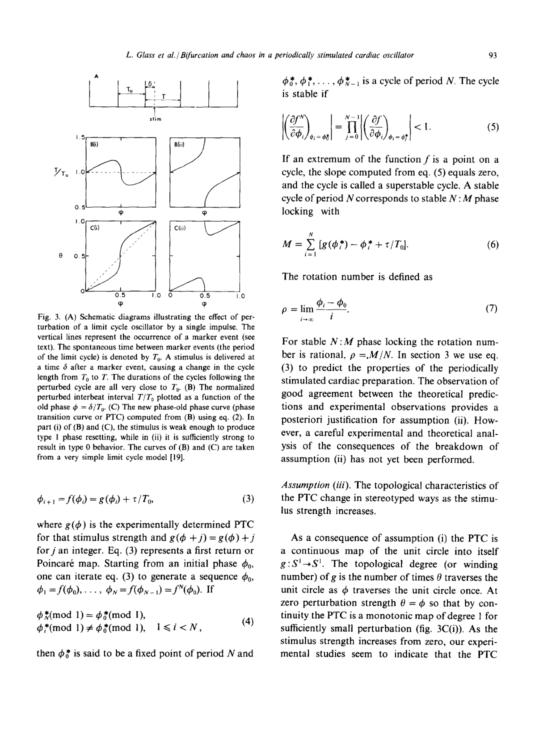

Fig. 3. (A) Schematic diagrams illustrating the effect of perturbation of a limit cycle oscillator by a single impulse. The vertical lines represent the occurrence of a marker event (see text). The spontaneous time between marker events (the period of the limit cycle) is denoted by  $T_0$ . A stimulus is delivered at a time  $\delta$  after a marker event, causing a change in the cycle length from  $T_0$  to T. The durations of the cycles following the perturbed cycle are all very close to  $T_0$ . (B) The normalized perturbed interbeat interval  $T/T_0$  plotted as a function of the old phase  $\phi = \delta/T_0$ . (C) The new phase-old phase curve (phase transition curve or PTC) computed from (B) using eq. (2). In part (i) of (B) and (C), the stimulus is weak enough to produce type 1 phase resetting, while in (ii) it is sufficiently strong to result in type 0 behavior. The curves of (B) and (C) are taken from a very simple limit cycle model [19].

$$
\phi_{i+1} = f(\phi_i) = g(\phi_i) + \tau/T_0,
$$
\n(3)

where  $g(\phi)$  is the experimentally determined PTC for that stimulus strength and  $g(\phi + j) = g(\phi) + j$ for  $j$  an integer. Eq. (3) represents a first return or Poincaré map. Starting from an initial phase  $\phi_0$ , one can iterate eq. (3) to generate a sequence  $\phi_0$ ,  $\phi_1 = f(\phi_0), \ldots, ~\phi_N = f(\phi_{N-1}) = f^N(\phi_0).$  If

$$
\begin{array}{l}\n\phi^*_N \text{(mod 1)} = \phi^*_0 \text{(mod 1)},\\ \n\phi^*_i \text{(mod 1)} \neq \phi^*_0 \text{(mod 1)}, \quad 1 \leq i < N,\n\end{array} \tag{4}
$$

then  $\phi_0^*$  is said to be a fixed point of period N and

 $\phi_0^*, \phi_1^*, \ldots, \phi_{N-1}^*$  is a cycle of period N. The cycle is stable if

$$
\left| \left( \frac{\partial f^N}{\partial \phi_i} \right)_{\phi_i = \phi_0^*} \right| = \prod_{j=0}^{N-1} \left| \left( \frac{\partial f}{\partial \phi_i} \right)_{\phi_i = \phi_j^*} \right| < 1. \tag{5}
$$

If an extremum of the function  $f$  is a point on a cycle, the slope computed from eq. (5) equals zero, and the cycle is called a superstable cycle. A stable cycle of period N corresponds to stable  $N: M$  phase locking with

$$
M = \sum_{i=1}^{N} [g(\phi_i^*) - \phi_i^* + \tau/T_0].
$$
 (6)

The rotation number is defined as

$$
\rho = \lim_{i \to \infty} \frac{\phi_i - \phi_0}{i}.
$$
\n(7)

For stable *N:M* phase locking the rotation number is rational,  $\rho = M/N$ . In section 3 we use eq. (3) to predict the properties of the periodically stimulated cardiac preparation. The observation of good agreement between the theoretical predictions and experimental observations provides a posteriori justification for assumption (ii). However, a careful experimental and theoretical analysis of the consequences of the breakdown of assumption (ii) has not yet been performed.

*Assumption (iii).* The topological characteristics of the PTC change in stereotyped ways as the stimulus strength increases.

As a consequence of assumption (i) the PTC is a continuous map of the unit circle into itself  $g: S^1 \rightarrow S^1$ . The topological degree (or winding number) of g is the number of times  $\theta$  traverses the unit circle as  $\phi$  traverses the unit circle once. At zero perturbation strength  $\theta = \phi$  so that by continuity the PTC is a monotonic map of degree 1 for sufficiently small perturbation (fig.  $3C(i)$ ). As the stimulus strength increases from zero, our experimental studies seem to indicate that the PTC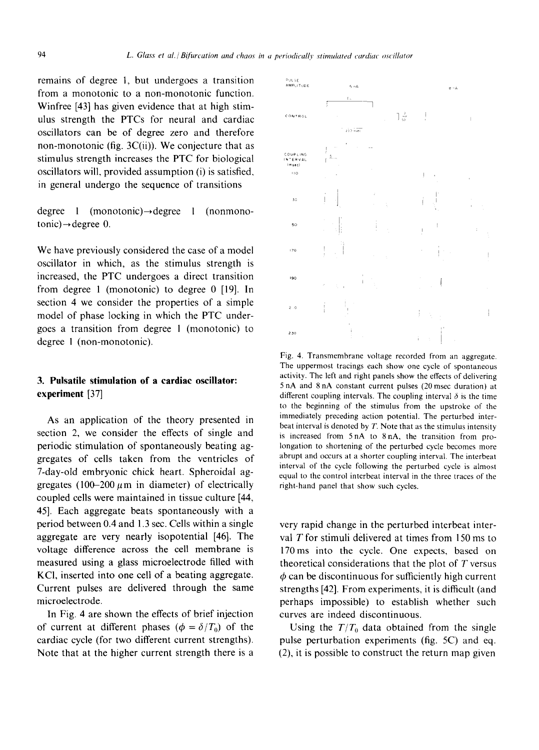remains of degree l, but undergoes a transition from a monotonic to a non-monotonic function. Winfree [43] has given evidence that at high stimulus strength the PTCs for neural and cardiac oscillators can be of degree zero and therefore non-monotonic (fig.  $3C(ii)$ ). We conjecture that as stimulus strength increases the PTC for biological oscillators will, provided assumption (i) is satisfied, in general undergo the sequence of transitions

degree 1 (monotonic) $\rightarrow$ degree 1 (nonmono $tonic) \rightarrow degree 0.$ 

We have previously considered the case of a model oscillator in which, as the stimulus strength is increased, the PTC undergoes a direct transition from degree 1 (monotonic) to degree 0 [19]. In section 4 we consider the properties of a simple model of phase locking in which the PTC undergoes a transition from degree 1 (monotonic) to degree 1 (non-monotonic).

## **3. Pulsatile stimulation of a cardiac oscillator: experiment [37]**

As an application of the theory presented in section 2, we consider the effects of single and periodic stimulation of spontaneously beating aggregates of cells taken from the ventricles of 7-day-old embryonic chick heart. Spheroidal aggregates (100-200  $\mu$ m in diameter) of electrically coupled cells were maintained in tissue culture [44, 45]. Each aggregate beats spontaneously with a period between 0.4 and 1.3 sec. Cells within a single aggregate are very nearly isopotential [46]. The voltage difference across the cell membrane is measured using a glass microelectrode filled with KCI, inserted into one cell of a beating aggregate. Current pulses are delivered through the same microelectrode.

In Fig. 4 are shown the effects of brief injection of current at different phases ( $\phi = \delta/T_0$ ) of the cardiac cycle (for two different current strengths). Note that at the higher current strength there is a



Fig. 4. Transmembrane voltage recorded from an aggregate. The uppermost tracings each show one cycle of spontaneous activity. The left and fight panels show the effects of delivering 5 nA and 8 nA constant current pulses (20 msec duration) at different coupling intervals. The coupling interval  $\delta$  is the time to the beginning of the stimulus from the upstroke of the immediately preceding action potential. The perturbed interbeat interval is denoted by T. Note that as the stimulus intensity is increased from 5 nA to 8 nA, the transition from prolongation to shortening of the perturbed cycle becomes more abrupt and occurs at a shorter coupling interval. The interbeat interval of the cycle following the perturbed cycle is almost equal to the control interbeat interval in the three traces of the right-hand panel that show such cycles.

very rapid change in the perturbed interbeat interval T for stimuli delivered at times from 150 ms to 170ms into the cycle. One expects, based on theoretical considerations that the plot of  $T$  versus  $\phi$  can be discontinuous for sufficiently high current strengths [42]. From experiments, it is difficult (and perhaps impossible) to establish whether such curves are indeed discontinuous.

Using the  $T/T_0$  data obtained from the single pulse perturbation experiments (fig. 5C) and eq. (2), it is possible to construct the return map given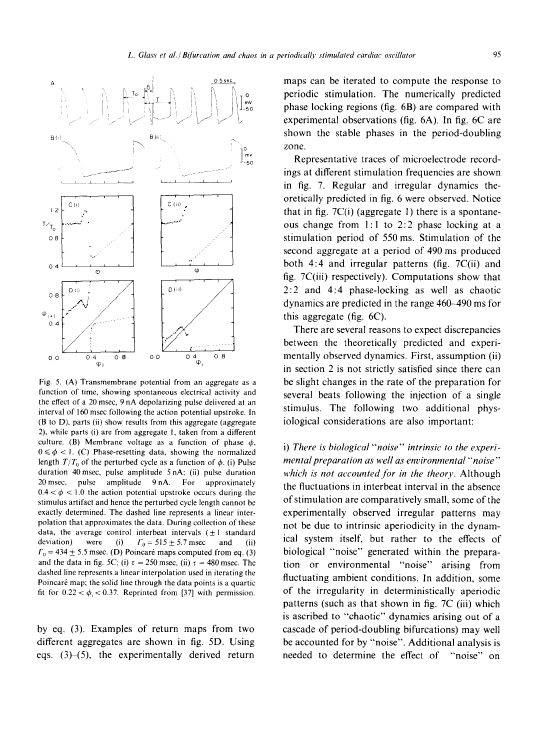

Fig. 5. (A) Transmembrane potential from an aggregate as a function of time, showing spontaneous electrical activity and the effect of a 20 msec, 9 nA depolarizing pulse delivered at an interval of 160 msec following the action potential upstroke. In (B to D), parts (ii) show results from this aggregate (aggregate 2), while parts (i) are from aggregate 1, taken from a different culture. (B) Membrane voltage as a function of phase  $\phi$ ,  $0 \le \phi < 1$ . (C) Phase-resetting data, showing the normalized length  $T/T_0$  of the perturbed cycle as a function of  $\phi$ . (i) Pulse duration 40msec, pulse amplitude 5 nA; (ii) pulse duration 20 msec, pulse amplitude 9 nA. For approximately  $0.4 < \phi < 1.0$  the action potential upstroke occurs during the stimulus artifact and hence the perturbed cycle length cannot be exactly determined. The dashed line represents a linear interpolation that approximates the data. During collection of these data, the average control interbeat intervals  $(\pm 1)$  standard deviation) were (i)  $\Gamma_0 = 515 \pm 5.7$  msec and (ii)  $\Gamma_0 = 434 \pm 5.5$  msec. (D) Poincaré maps computed from eq. (3) and the data in fig. 5C; (i)  $\tau = 250$  msec, (ii)  $\tau = 480$  msec. The dashed line represents a linear interpolation used in iterating the Poincaré map; the solid line through the data points is a quartic fit for  $0.22 < \phi_i < 0.37$ . Reprinted from [37] with permission.

by eq. (3). Examples of return maps from two different aggregates are shown in fig. 5D. Using eqs.  $(3)–(5)$ , the experimentally derived return

maps can be iterated to compute the response to periodic stimulation. The numerically predicted phase locking regions (fig. 6B) are compared with experimental observations (fig. 6A). In fig. 6C are shown the stable phases in the period-doubling zone.

Representative traces of microelectrode recordings at different stimulation frequencies are shown in fig. 7. Regular and irregular dynamics theoretically predicted in fig. 6 were observed. Notice that in fig.  $7C(i)$  (aggregate 1) there is a spontaneous change from 1:1 to 2:2 phase locking at a stimulation period of 550 ms. Stimulation of the second aggregate at a period of 490 ms produced both 4:4 and irregular patterns (fig. 7C(ii) and fig.  $7C(iii)$  respectively). Computations show that 2:2 and 4:4 phase-locking as well as chaotic dynamics are predicted in the range 460-490 ms for this aggregate (fig. 6C).

There are several reasons to expect discrepancies between the theoretically predicted and experimentally observed dynamics. First, assumption (ii) in section 2 is not strictly satisfied since there can be slight changes in the rate of the preparation for several beats following the injection of a single stimulus. The following two additional physiological considerations are also important:

i) *There is biological "'noise" intrinsic to the experimental preparation as well as environmental "noise" which is not accounted for in the theory.* Although the fluctuations in interbeat interval in the absence of stimulation are comparatively small, some of the experimentally observed irregular patterns may not be due to intrinsic aperiodicity in the dynamical system itself, but rather to the effects of biological "noise" generated within the preparation or environmental "noise" arising from fluctuating ambient conditions. In addition, some of the irregularity in deterministically aperiodic patterns (such as that shown in fig. 7C (iii) which is ascribed to "chaotic" dynamics arising out of a cascade of period-doubling bifurcations) may well be accounted for by "noise". Additional analysis is needed to determine the effect of "noise" on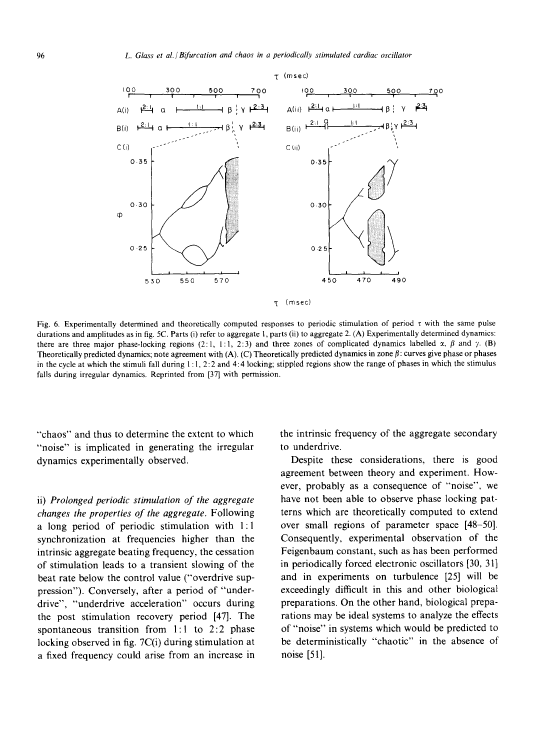

 $\tau$  (msec)

Fig. 6. Experimentally determined and theoretically computed responses to periodic stimulation of period  $\tau$  with the same pulse durations and amplitudes as in fig. 5C. Parts (i) refer to aggregate 1, parts (ii) to aggregate 2. (A) Experimentally determined dynamics: there are three major phase-locking regions (2:1, 1:1, 2:3) and three zones of complicated dynamics labelled  $x$ ,  $\beta$  and  $\gamma$ . (B) Theoretically predicted dynamics; note agreement with (A). (C) Theoretically predicted dynamics in zone  $\beta$ : curves give phase or phases in the cycle at which the stimuli fall during  $1:1, 2:2$  and  $4:4$  locking; stippled regions show the range of phases in which the stimulus falls during irregular dynamics. Reprinted from [37] with permission.

"chaos" and thus to determine the extent to which "noise" is implicated in generating the irregular dynamics experimentally observed.

ii) *Prolonged periodic stimulation of the aggregate changes the properties of the aggregate.* Following a long period of periodic stimulation with 1:1 synchronization at frequencies higher than the intrinsic aggregate beating frequency, the cessation of stimulation leads to a transient slowing of the beat rate below the control value ("overdrive suppression"). Conversely, after a period of "underdrive", "underdrive acceleration" occurs during the post stimulation recovery period [47]. The spontaneous transition from 1:1 to 2:2 phase locking observed in fig. 7C(i) during stimulation at a fixed frequency could arise from an increase in the intrinsic frequency of the aggregate secondary to underdrive.

Despite these considerations, there is good agreement between theory and experiment. However, probably as a consequence of "noise", we have not been able to observe phase locking patterns which are theoretically computed to extend over small regions of parameter space [48-50]. Consequently, experimental observation of the Feigenbaum constant, such as has been performed in periodically forced electronic oscillators [30, 31] and in experiments on turbulence [25] will be exceedingly difficult in this and other biological preparations. On the other hand, biological preparations may be ideal systems to analyze the effects of "noise" in systems which would be predicted to be deterministically "chaotic" in the absence of noise [51].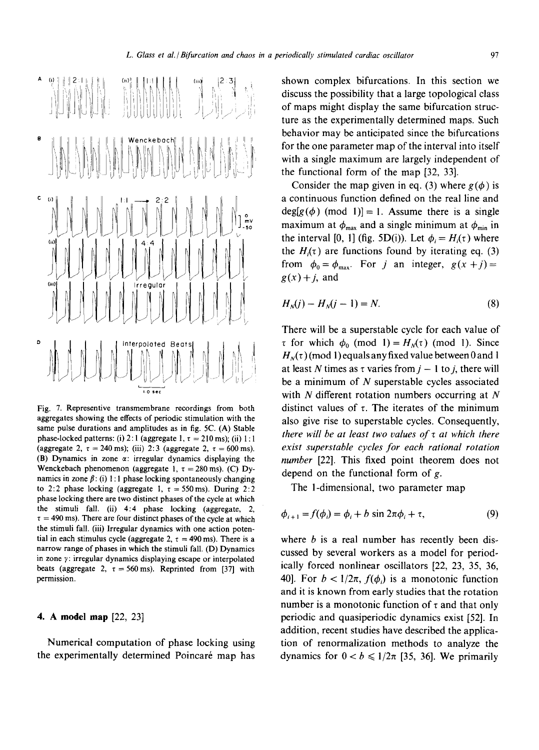

Fig. 7. Representive transmembrane recordings from both aggregates showing the effects of periodic stimulation with the same pulse durations and amplitudes as in fig. 5C. (A) Stable phase-locked patterns: (i) 2:1 (aggregate 1,  $\tau = 210$  ms); (ii) 1:1 (aggregate 2,  $\tau = 240$  ms); (iii) 2:3 (aggregate 2,  $\tau = 600$  ms). (B) Dynamics in zone  $\alpha$ : irregular dynamics displaying the Wenckebach phenomenon (aggregate 1,  $\tau = 280$  ms). (C) Dynamics in zone  $\beta$ : (i) 1:1 phase locking spontaneously changing to 2:2 phase locking (aggregate 1,  $\tau = 550$  ms). During 2:2 phase locking there are two distinct phases of the cycle at which the stimuli fall. (ii)  $4:4$  phase locking (aggregate, 2,  $\tau = 490$  ms). There are four distinct phases of the cycle at which the stimuli fall. (iii) Irregular dynamics with one action potential in each stimulus cycle (aggregate 2,  $\tau = 490$  ms). There is a narrow range of phases in which the stimuli fall. (D) Dynamics in zone  $\gamma$ : irregular dynamics displaying escape or interpolated beats (aggregate 2,  $\tau = 560 \text{ ms}$ ). Reprinted from [37] with permission.

### **4. A model map [22,** 23]

Numerical computation of phase locking using the experimentally determined Poincaré map has shown complex bifurcations. In this section we discuss the possibility that a large topological class of maps might display the same bifurcation structure as the experimentally determined maps. Such behavior may be anticipated since the bifurcations for the one parameter map of the interval into itself with a single maximum are largely independent of the functional form of the map [32, 33].

Consider the map given in eq. (3) where  $g(\phi)$  is a continuous function defined on the real line and  $deg[g(\phi)$  (mod 1)] = 1. Assume there is a single maximum at  $\phi_{\text{max}}$  and a single minimum at  $\phi_{\text{min}}$  in the interval [0, 1] (fig. 5D(i)). Let  $\phi_i = H_i(\tau)$  where the  $H_i(\tau)$  are functions found by iterating eq. (3) from  $\phi_0 = \phi_{\text{max}}$ . For j an integer,  $g(x + j) =$  $g(x) + j$ , and

$$
H_N(j) - H_N(j-1) = N.
$$
 (8)

There will be a superstable cycle for each value of  $\tau$  for which  $\phi_0$  (mod 1) =  $H_N(\tau)$  (mod 1). Since  $H_N(\tau)$  (mod 1) equals any fixed value between 0 and 1 at least N times as  $\tau$  varies from  $j - 1$  to j, there will be a minimum of  $N$  superstable cycles associated with  $N$  different rotation numbers occurring at  $N$ distinct values of  $\tau$ . The iterates of the minimum also give rise to superstable cycles. Consequently, *there will be at least two values of z at which there exist superstable cycles for each rational rotation number* [22]. This fixed point theorem does not depend on the functional form of g.

The l-dimensional, two parameter map

$$
\phi_{i+1} = f(\phi_i) = \phi_i + b \sin 2\pi \phi_i + \tau,\tag{9}
$$

where  $b$  is a real number has recently been discussed by several workers as a model for periodically forced nonlinear oscillators [22, 23, 35, 36, 40]. For  $b < 1/2\pi$ ,  $f(\phi_i)$  is a monotonic function and it is known from early studies that the rotation number is a monotonic function of  $\tau$  and that only periodic and quasiperiodic dynamics exist [52]. In addition, recent studies have described the application of renormalization methods to analyze the dynamics for  $0 < b \leq 1/2\pi$  [35, 36]. We primarily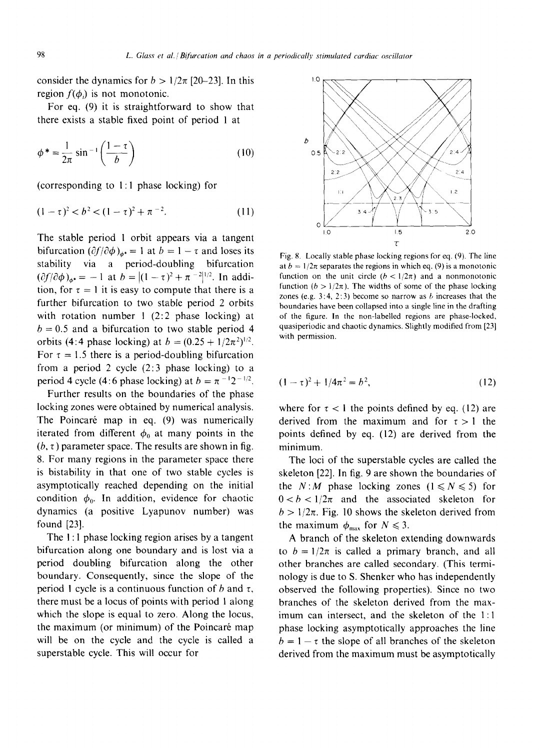consider the dynamics for  $b > 1/2\pi$  [20-23]. In this region  $f(\phi)$  is not monotonic.

For eq. (9) it is straightforward to show that there exists a stable fixed point of period 1 at

$$
\phi^* = \frac{1}{2\pi} \sin^{-1} \left( \frac{1-\tau}{b} \right) \tag{10}
$$

(corresponding to 1:1 phase locking) for

$$
(1 - \tau)^2 < b^2 < (1 - \tau)^2 + \pi^{-2}.
$$
 (11)

The stable period 1 orbit appears via a tangent bifurcation  $(\partial f/\partial \phi)_{ab} = 1$  at  $b = 1 - \tau$  and loses its stability via a period-doubling bifurcation  $(\partial f/\partial \phi)_{\phi^*} = -1$  at  $b = |(1 - \tau)^2 + \pi^{-2}|^{1/2}$ . In addition, for  $\tau = 1$  it is easy to compute that there is a further bifurcation to two stable period 2 orbits with rotation number 1 (2:2 phase locking) at  $b = 0.5$  and a bifurcation to two stable period 4 orbits (4:4 phase locking) at  $b = (0.25 + 1/2\pi^2)^{1/2}$ . For  $\tau = 1.5$  there is a period-doubling bifurcation from a period 2 cycle (2:3 phase locking) to a period 4 cycle (4:6 phase locking) at  $b = \pi^{-1}2^{-1/2}$ .

Further results on the boundaries of the phase locking zones were obtained by numerical analysis. The Poincaré map in eq. (9) was numerically iterated from different  $\phi_0$  at many points in the  $(b, \tau)$  parameter space. The results are shown in fig. 8. For many regions in the parameter space there is bistability in that one of two stable cycles is asymptotically reached depending on the initial condition  $\phi_0$ . In addition, evidence for chaotic dynamics (a positive Lyapunov number) was found [23].

The I: 1 phase locking region arises by a tangent bifurcation along one boundary and is lost via a period doubling bifurcation along the other boundary. Consequently, since the slope of the period 1 cycle is a continuous function of b and  $\tau$ , there must be a locus of points with period 1 along which the slope is equal to zero. Along the locus, the maximum (or minimum) of the Poincaré map will be on the cycle and the cycle is called a superstable cycle. This will occur for



Fig. 8. Locally stable phase locking regions for eq. (9). The line at  $b = 1/2\pi$  separates the regions in which eq. (9) is a monotonic function on the unit circle  $(b < 1/2\pi)$  and a nonmonotonic function ( $b > 1/2\pi$ ). The widths of some of the phase locking zones (e.g. 3:4, 2:3) become so narrow as  $b$  increases that the boundaries have been collapsed into a single line in the drafting of the figure. In the non-labelled regions are phase-locked, quasiperiodic and chaotic dynamics. Slightly modified from [23] with permission.

$$
(1 - \tau)^2 + 1/4\pi^2 = b^2,\tag{12}
$$

where for  $\tau < 1$  the points defined by eq. (12) are derived from the maximum and for  $\tau > 1$  the points defined by eq. (12) are derived from the minimum.

The loci of the superstable cycles are called the skeleton [22]. In fig. 9 are shown the boundaries of the *N:M* phase locking zones  $(1 \le N \le 5)$  for  $0 < b < 1/2\pi$  and the associated skeleton for  $b > 1/2\pi$ . Fig. 10 shows the skeleton derived from the maximum  $\phi_{\text{max}}$  for  $N \leq 3$ .

A branch of the skeleton extending downwards to  $b = 1/2\pi$  is called a primary branch, and all other branches are called secondary. (This terminology is due to S. Shenker who has independently observed the following properties). Since no two branches of the skeleton derived from the maximum can intersect, and the skeleton of the 1:1 phase locking asymptotically approaches the line  $b = 1 - \tau$  the slope of all branches of the skeleton derived from the maximum must be asymptotically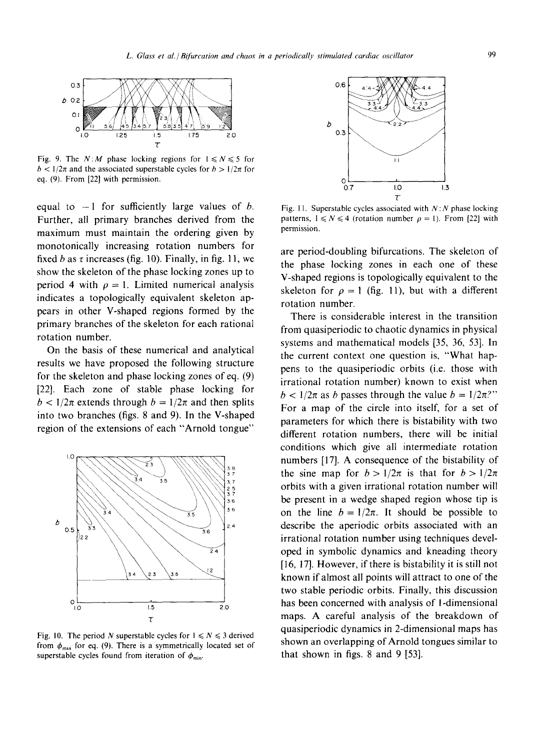

Fig. 9. The  $N: M$  phase locking regions for  $1 \le N \le 5$  for  $b < 1/2\pi$  and the associated superstable cycles for  $b > 1/2\pi$  for eq. (9). From [22] with permission.

equal to  $-1$  for sufficiently large values of b. Further, all primary branches derived from the maximum must maintain the ordering given by monotonically increasing rotation numbers for fixed b as  $\tau$  increases (fig. 10). Finally, in fig. 11, we show the skeleton of the phase locking zones up to period 4 with  $\rho = 1$ . Limited numerical analysis indicates a topologically equivalent skeleton appears in other V-shaped regions formed by the primary branches of the skeleton for each rational rotation number.

On the basis of these numerical and analytical results we have proposed the following structure for the skeleton and phase locking zones of eq. (9) [22]. Each zone of stable phase locking for  $b < 1/2\pi$  extends through  $b = 1/2\pi$  and then splits into two branches (figs. 8 and 9). In the V-shaped region of the extensions of each "Arnold tongue"



Fig. 10. The period N superstable cycles for  $1 \le N \le 3$  derived from  $\phi_{\text{max}}$  for eq. (9). There is a symmetrically located set of superstable cycles found from iteration of  $\phi_{\min}$ .



Fig. 11. Superstable cycles associated with  $N : N$  phase locking patterns,  $1 \leq N \leq 4$  (rotation number  $\rho = 1$ ). From [22] with permission.

are period-doubling bifurcations. The skeleton of the phase locking zones in each one of these V-shaped regions is topologically equivalent to the skeleton for  $\rho = 1$  (fig. 11), but with a different rotation number.

There is considerable interest in the transition from quasiperiodic to chaotic dynamics in physical systems and mathematical models [35, 36, 53]. In the current context one question is, "What happens to the quasiperiodic orbits (i.e. those with irrational rotation number) known to exist when  $b < 1/2\pi$  as b passes through the value  $b = 1/2\pi$ ?" For a map of the circle into itself, for a set of parameters for which there is bistability with two different rotation numbers, there will be initial conditions which give all intermediate rotation numbers [17]. A consequence of the bistability of the sine map for  $b>1/2\pi$  is that for  $b>1/2\pi$ orbits with a given irrational rotation number will be present in a wedge shaped region whose tip is on the line  $b = 1/2\pi$ . It should be possible to describe the aperiodic orbits associated with an irrational rotation number using techniques developed in symbolic dynamics and kneading theory [16, 17]. However, if there is bistability it is still not known if almost all points will attract to one of the two stable periodic orbits. Finally, this discussion has been concerned with analysis of l-dimensional maps. A careful analysis of the breakdown of quasiperiodic dynamics in 2-dimensional maps has shown an overlapping of Arnold tongues similar to that shown in figs. 8 and 9 [53].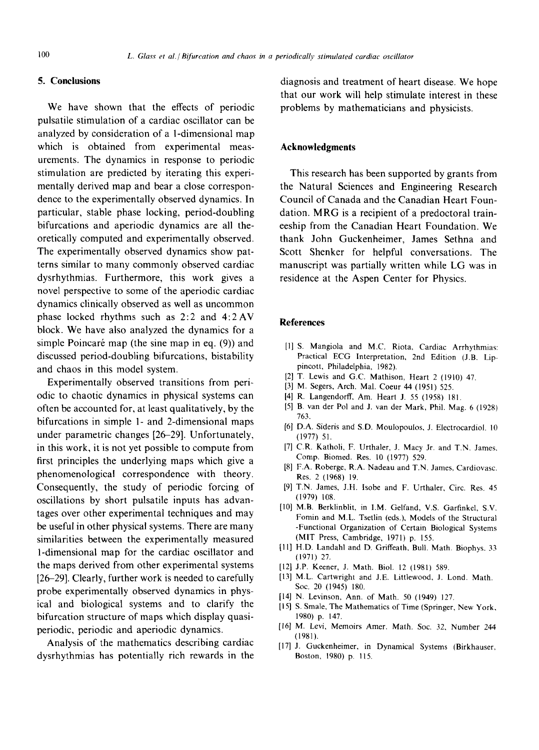## **5. Conclusions**

We have shown that the effects of periodic pulsatile stimulation of a cardiac oscillator can be analyzed by consideration of a 1-dimensional map which is obtained from experimental measurements. The dynamics in response to periodic stimulation are predicted by iterating this experimentally derived map and bear a close correspondence to the experimentally observed dynamics. In particular, stable phase locking, period-doubling bifurcations and aperiodic dynamics are all theoretically computed and experimentally observed. The experimentally observed dynamics show patterns similar to many commonly observed cardiac dysrhythmias. Furthermore, this work gives a novel perspective to some of the aperiodic cardiac dynamics clinically observed as well as uncommon phase locked rhythms such as 2:2 and 4:2 AV block. We have also analyzed the dynamics for a simple Poincaré map (the sine map in eq. (9)) and discussed period-doubling bifurcations, bistability and chaos in this model system.

Experimentally observed transitions from periodic to chaotic dynamics in physical systems can often be accounted for, at least qualitatively, by the bifurcations in simple 1- and 2-dimensional maps under parametric changes [26-29]. Unfortunately, in this work, it is not yet possible to compute from first principles the underlying maps which give a phenomenological correspondence with theory. Consequently, the study of periodic forcing of oscillations by short pulsatile inputs has advantages over other experimental techniques and may be useful in other physical systems. There are many similarities between the experimentally measured 1-dimensional map for the cardiac oscillator and the maps derived from other experimental systems [26-29]. Clearly, further work is needed to carefully probe experimentally observed dynamics in physical and biological systems and to clarify the bifurcation structure of maps which display quasiperiodic, periodic and aperiodic dynamics.

Analysis of the mathematics describing cardiac dysrhythmias has potentially rich rewards in the diagnosis and treatment of heart disease. We hope that our work will help stimulate interest in these problems by mathematicians and physicists.

### **Acknowledgments**

This research has been supported by grants from the Natural Sciences and Engineering Research Council of Canada and the Canadian Heart Foundation. MRG is a recipient of a predoctoral traineeship from the Canadian Heart Foundation. We thank John Guckenheimer, James Sethna and Scott Shenker for helpful conversations. The manuscript was partially written while LG was in residence at the Aspen Center for Physics.

#### **References**

- [1] S. Mangiola and M.C. Riota, Cardiac Arrhythmias: Practical ECG Interpretation, 2nd Edition (J.B. Lippincott, Philadelphia, 1982).
- [2] T. Lewis and G.C. Mathison, Heart 2 (1910) 47.
- [3] M. Segers, Arch. Mal. Coeur 44 (1951) 525.
- [4] R. Langendorff, Am. Heart J. 55 (1958) 181.
- [5] B. van der Pol and J. van der Mark, Phil. Mag. 6 (1928) 763.
- [6] D.A. Sideris and S.D. Moulopoulos, J. Electrocardiol. l0 (1977) 51.
- [7] C.R. Katholi, F. Urthaler, J. Macy Jr. and T.N. James, Comp. Biomed. Res. 10 (1977) 529.
- [8] F.A. Roberge, R.A. Nadeau and T.N. James, Cardiovasc. Res. 2 (1968) 19.
- [9] T.N. James, J.H. Isobe and F. Urthaler, Circ. Res. 45 (1979) 108.
- [10] M.B. Berklinblit, in I.M. Gelfand, V.S. Garfinkel, S.V. Fomin and M.L. Tsetlin (eds.), Models of the Structural -Functional Organization of Certain Biological Systems (MIT Press, Cambridge, 1971) p. 155.
- [11] H.D. Landahl and D. Griffeath, Bull. Math. Biophys. 33 (1971) 27.
- [12] J.P. Keener, J. Math. Biol. 12 (1981) 589.
- [13] M.L. Cartwright and J.E. Littlewood, J. Lond. Math. Soc. 20 (1945) 180.
- [14] N. Levinson, Ann. of Math. 50 (1949) 127,
- [15] S. Smale, The Mathematics of Time (Springer, New York, 1980) p. 147.
- [16] M. Levi, Memoirs Amer. Math. Soc. 32, Number 244 (1981).
- [17] J. Guckenheimer, in Dynamical Systems (Birkhauser, Boston, 1980) p. 115.